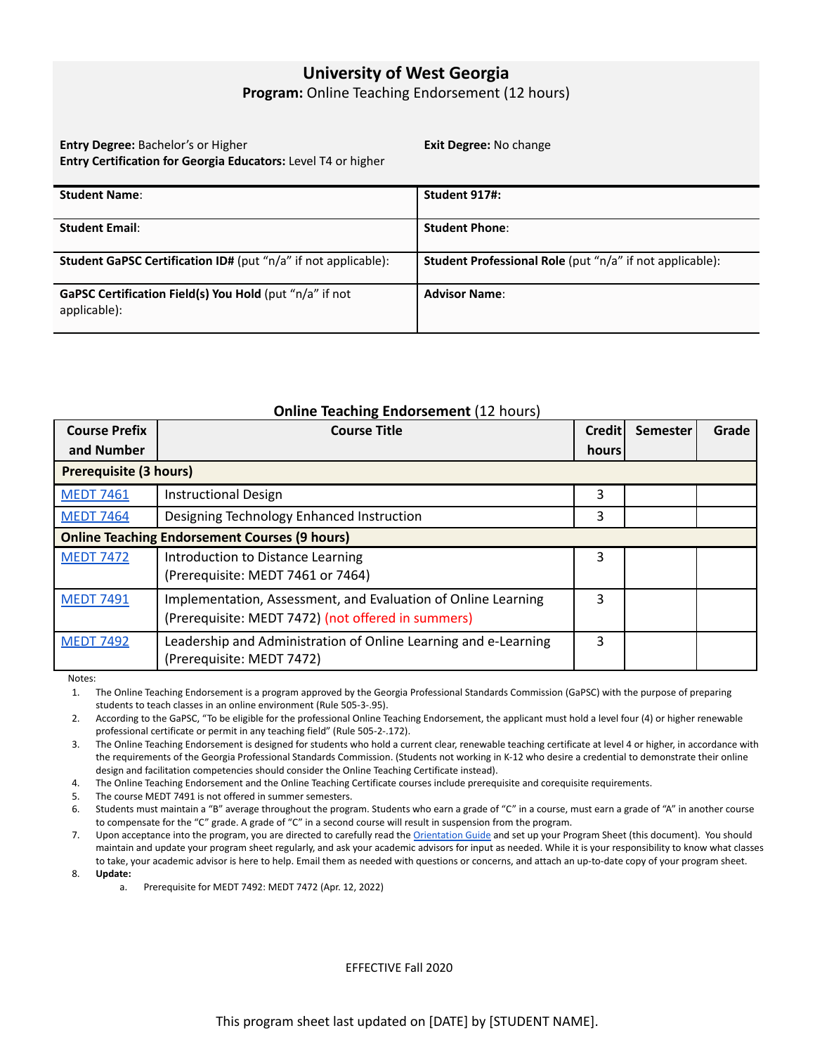## **University of West Georgia**

**Program:** Online Teaching Endorsement (12 hours)

**Entry Degree:** Bachelor's or Higher **Entry Certification for Georgia Educators:** Level T4 or higher **Exit Degree:** No change

| <b>Student Name:</b>                                                    | Student 917#:                                                   |
|-------------------------------------------------------------------------|-----------------------------------------------------------------|
| <b>Student Email:</b>                                                   | <b>Student Phone:</b>                                           |
| <b>Student GaPSC Certification ID#</b> (put "n/a" if not applicable):   | <b>Student Professional Role</b> (put "n/a" if not applicable): |
| GaPSC Certification Field(s) You Hold (put "n/a" if not<br>applicable): | <b>Advisor Name:</b>                                            |

## **Online Teaching Endorsement** (12 hours)

| <b>Course Prefix</b>                                 | <b>Course Title</b>                                                                                                 | <b>Credit</b> | <b>Semester</b> | Grade |
|------------------------------------------------------|---------------------------------------------------------------------------------------------------------------------|---------------|-----------------|-------|
| and Number                                           |                                                                                                                     | hours         |                 |       |
| <b>Prerequisite (3 hours)</b>                        |                                                                                                                     |               |                 |       |
| <b>MEDT 7461</b>                                     | <b>Instructional Design</b>                                                                                         | 3             |                 |       |
| <b>MEDT 7464</b>                                     | Designing Technology Enhanced Instruction                                                                           | 3             |                 |       |
| <b>Online Teaching Endorsement Courses (9 hours)</b> |                                                                                                                     |               |                 |       |
| <b>MEDT 7472</b>                                     | Introduction to Distance Learning<br>(Prerequisite: MEDT 7461 or 7464)                                              | 3             |                 |       |
| <b>MEDT 7491</b>                                     | Implementation, Assessment, and Evaluation of Online Learning<br>(Prerequisite: MEDT 7472) (not offered in summers) | 3             |                 |       |
| <b>MEDT 7492</b>                                     | Leadership and Administration of Online Learning and e-Learning<br>(Prerequisite: MEDT 7472)                        | 3             |                 |       |

Notes:

1. The Online Teaching Endorsement is a program approved by the Georgia Professional Standards Commission (GaPSC) with the purpose of preparing students to teach classes in an online environment (Rule 505-3-.95).

2. According to the GaPSC, "To be eligible for the professional Online Teaching Endorsement, the applicant must hold a level four (4) or higher renewable professional certificate or permit in any teaching field" (Rule 505-2-.172).

3. The Online Teaching Endorsement is designed for students who hold a current clear, renewable teaching certificate at level 4 or higher, in accordance with the requirements of the Georgia Professional Standards Commission. (Students not working in K-12 who desire a credential to demonstrate their online design and facilitation competencies should consider the Online Teaching Certificate instead).

4. The Online Teaching Endorsement and the Online Teaching Certificate courses include prerequisite and corequisite requirements.

5. The course MEDT 7491 is not offered in summer semesters.

6. Students must maintain a "B" average throughout the program. Students who earn a grade of "C" in a course, must earn a grade of "A" in another course to compensate for the "C" grade. A grade of "C" in a second course will result in suspension from the program.

7. Upon acceptance into the program, you are directed to carefully read the [Orientation](https://docs.google.com/document/d/1fEcHaDu_Q-58Wo3awWGT4zCv2VWfaVXSWe7W_phcNAU/edit#) Guide and set up your Program Sheet (this document). You should maintain and update your program sheet regularly, and ask your academic advisors for input as needed. While it is your responsibility to know what classes to take, your academic advisor is here to help. Email them as needed with questions or concerns, and attach an up-to-date copy of your program sheet.

8. **Update:**

a. Prerequisite for MEDT 7492: MEDT 7472 (Apr. 12, 2022)

EFFECTIVE Fall 2020